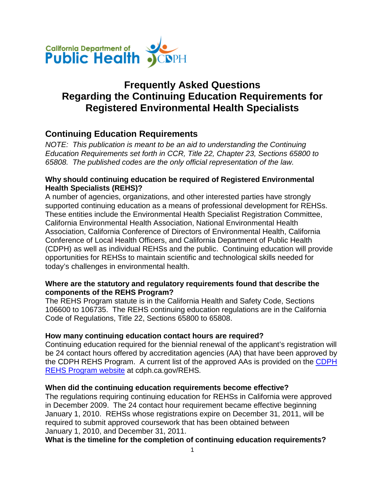

# **Frequently Asked Questions Regarding the Continuing Education Requirements for Registered Environmental Health Specialists**

## **Continuing Education Requirements**

*NOTE: This publication is meant to be an aid to understanding the Continuing Education Requirements set forth in CCR, Title 22, Chapter 23, Sections 65800 to 65808. The published codes are the only official representation of the law.*

## **Why should continuing education be required of Registered Environmental Health Specialists (REHS)?**

A number of agencies, organizations, and other interested parties have strongly supported continuing education as a means of professional development for REHSs. These entities include the Environmental Health Specialist Registration Committee, California Environmental Health Association, National Environmental Health Association, California Conference of Directors of Environmental Health, California Conference of Local Health Officers, and California Department of Public Health (CDPH) as well as individual REHSs and the public. Continuing education will provide opportunities for REHSs to maintain scientific and technological skills needed for today's challenges in environmental health.

## **Where are the statutory and regulatory requirements found that describe the components of the REHS Program?**

The REHS Program statute is in the California Health and Safety Code, Sections 106600 to 106735. The REHS continuing education regulations are in the California Code of Regulations, Title 22, Sections 65800 to 65808.

## **How many continuing education contact hours are required?**

Continuing education required for the biennial renewal of the applicant's registration will be 24 contact hours offered by accreditation agencies (AA) that have been approved by the CDPH REHS Program. A current list of the approved AAs is provided on the [CDPH](https://author.cdph.ca.gov/Programs/CEH/DRSEM/Pages/REHS.aspx)  [REHS Program website](https://author.cdph.ca.gov/Programs/CEH/DRSEM/Pages/REHS.aspx) at cdph.ca.gov/REHS*.* 

#### **When did the continuing education requirements become effective?**

The regulations requiring continuing education for REHSs in California were approved in December 2009. The 24 contact hour requirement became effective beginning January 1, 2010. REHSs whose registrations expire on December 31, 2011, will be required to submit approved coursework that has been obtained between January 1, 2010, and December 31, 2011.

**What is the timeline for the completion of continuing education requirements?**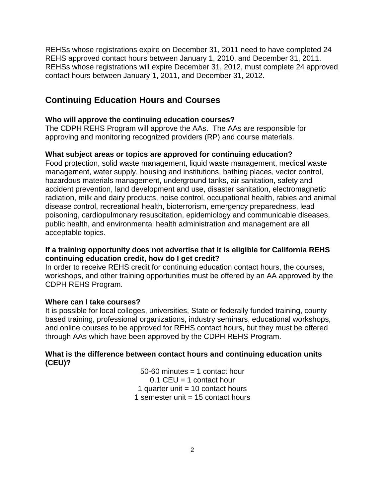REHSs whose registrations expire on December 31, 2011 need to have completed 24 REHS approved contact hours between January 1, 2010, and December 31, 2011. REHSs whose registrations will expire December 31, 2012, must complete 24 approved contact hours between January 1, 2011, and December 31, 2012.

## **Continuing Education Hours and Courses**

### **Who will approve the continuing education courses?**

The CDPH REHS Program will approve the AAs. The AAs are responsible for approving and monitoring recognized providers (RP) and course materials.

### **What subject areas or topics are approved for continuing education?**

Food protection, solid waste management, liquid waste management, medical waste management, water supply, housing and institutions, bathing places, vector control, hazardous materials management, underground tanks, air sanitation, safety and accident prevention, land development and use, disaster sanitation, electromagnetic radiation, milk and dairy products, noise control, occupational health, rabies and animal disease control, recreational health, bioterrorism, emergency preparedness, lead poisoning, cardiopulmonary resuscitation, epidemiology and communicable diseases, public health, and environmental health administration and management are all acceptable topics.

### **If a training opportunity does not advertise that it is eligible for California REHS continuing education credit, how do I get credit?**

In order to receive REHS credit for continuing education contact hours, the courses, workshops, and other training opportunities must be offered by an AA approved by the CDPH REHS Program.

#### **Where can I take courses?**

It is possible for local colleges, universities, State or federally funded training, county based training, professional organizations, industry seminars, educational workshops, and online courses to be approved for REHS contact hours, but they must be offered through AAs which have been approved by the CDPH REHS Program.

## **What is the difference between contact hours and continuing education units (CEU)?**

 $50-60$  minutes  $= 1$  contact hour  $0.1$  CEU = 1 contact hour 1 quarter unit  $= 10$  contact hours 1 semester unit  $= 15$  contact hours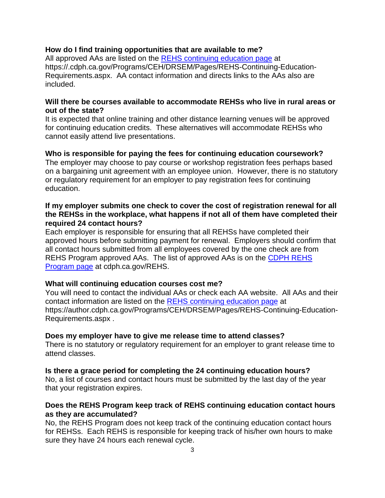#### **How do I find training opportunities that are available to me?**

All approved AAs are listed on the [REHS continuing education page](https://.cdph.ca.gov/Programs/CEH/DRSEM/Pages/REHS-Continuing-Education-Requirements.aspx) at https://.cdph.ca.gov/Programs/CEH/DRSEM/Pages/REHS-Continuing-Education-Requirements.aspx. AA contact information and directs links to the AAs also are included.

#### **Will there be courses available to accommodate REHSs who live in rural areas or out of the state?**

It is expected that online training and other distance learning venues will be approved for continuing education credits. These alternatives will accommodate REHSs who cannot easily attend live presentations.

### **Who is responsible for paying the fees for continuing education coursework?**

The employer may choose to pay course or workshop registration fees perhaps based on a bargaining unit agreement with an employee union. However, there is no statutory or regulatory requirement for an employer to pay registration fees for continuing education.

#### **If my employer submits one check to cover the cost of registration renewal for all the REHSs in the workplace, what happens if not all of them have completed their required 24 contact hours?**

Each employer is responsible for ensuring that all REHSs have completed their approved hours before submitting payment for renewal. Employers should confirm that all contact hours submitted from all employees covered by the one check are from REHS Program approved AAs. The list of approved AAs is on the [CDPH REHS](https://author.cdph.ca.gov/Programs/CEH/DRSEM/Pages/REHS.aspx)  [Program page](https://author.cdph.ca.gov/Programs/CEH/DRSEM/Pages/REHS.aspx) at cdph.ca.gov/REHS.

#### **What will continuing education courses cost me?**

You will need to contact the individual AAs or check each AA website. All AAs and their contact information are listed on the [REHS continuing education page](https://author.cdph.ca.gov/Programs/CEH/DRSEM/Pages/REHS-Continuing-Education-Requirements.aspx) at https://author.cdph.ca.gov/Programs/CEH/DRSEM/Pages/REHS-Continuing-Education-Requirements.aspx .

#### **Does my employer have to give me release time to attend classes?**

There is no statutory or regulatory requirement for an employer to grant release time to attend classes.

**Is there a grace period for completing the 24 continuing education hours?** No, a list of courses and contact hours must be submitted by the last day of the year

that your registration expires.

## **Does the REHS Program keep track of REHS continuing education contact hours as they are accumulated?**

No, the REHS Program does not keep track of the continuing education contact hours for REHSs. Each REHS is responsible for keeping track of his/her own hours to make sure they have 24 hours each renewal cycle.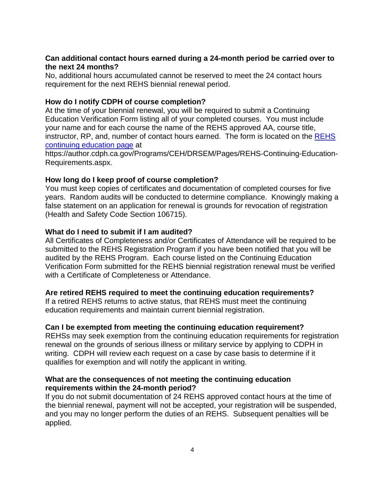### **Can additional contact hours earned during a 24-month period be carried over to the next 24 months?**

No, additional hours accumulated cannot be reserved to meet the 24 contact hours requirement for the next REHS biennial renewal period.

### **How do I notify CDPH of course completion?**

At the time of your biennial renewal, you will be required to submit a Continuing Education Verification Form listing all of your completed courses. You must include your name and for each course the name of the REHS approved AA, course title, instructor, RP, and, number of contact hours earned. The form is located on the [REHS](https://author.cdph.ca.gov/Programs/CEH/DRSEM/Pages/REHS-Continuing-Education-Requirements.aspx)  [continuing education](https://author.cdph.ca.gov/Programs/CEH/DRSEM/Pages/REHS-Continuing-Education-Requirements.aspx) page at

https://author.cdph.ca.gov/Programs/CEH/DRSEM/Pages/REHS-Continuing-Education-Requirements.aspx.

#### **How long do I keep proof of course completion?**

You must keep copies of certificates and documentation of completed courses for five years. Random audits will be conducted to determine compliance. Knowingly making a false statement on an application for renewal is grounds for revocation of registration (Health and Safety Code Section 106715).

#### **What do I need to submit if I am audited?**

All Certificates of Completeness and/or Certificates of Attendance will be required to be submitted to the REHS Registration Program if you have been notified that you will be audited by the REHS Program. Each course listed on the Continuing Education Verification Form submitted for the REHS biennial registration renewal must be verified with a Certificate of Completeness or Attendance.

#### **Are retired REHS required to meet the continuing education requirements?**

If a retired REHS returns to active status, that REHS must meet the continuing education requirements and maintain current biennial registration.

#### **Can I be exempted from meeting the continuing education requirement?**

REHSs may seek exemption from the continuing education requirements for registration renewal on the grounds of serious illness or military service by applying to CDPH in writing. CDPH will review each request on a case by case basis to determine if it qualifies for exemption and will notify the applicant in writing.

#### **What are the consequences of not meeting the continuing education requirements within the 24-month period?**

If you do not submit documentation of 24 REHS approved contact hours at the time of the biennial renewal, payment will not be accepted, your registration will be suspended, and you may no longer perform the duties of an REHS. Subsequent penalties will be applied.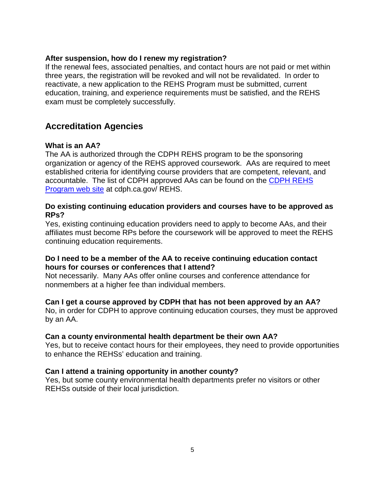#### **After suspension, how do I renew my registration?**

If the renewal fees, associated penalties, and contact hours are not paid or met within three years, the registration will be revoked and will not be revalidated. In order to reactivate, a new application to the REHS Program must be submitted, current education, training, and experience requirements must be satisfied, and the REHS exam must be completely successfully.

## **Accreditation Agencies**

#### **What is an AA?**

The AA is authorized through the CDPH REHS program to be the sponsoring organization or agency of the REHS approved coursework. AAs are required to meet established criteria for identifying course providers that are competent, relevant, and accountable. The list of CDPH approved AAs can be found on the [CDPH REHS](https://author.cdph.ca.gov/Programs/CEH/DRSEM/Pages/REHS.aspx) [Program web site](https://author.cdph.ca.gov/Programs/CEH/DRSEM/Pages/REHS.aspx) at cdph.ca.gov/ REHS.

### **Do existing continuing education providers and courses have to be approved as RPs?**

Yes, existing continuing education providers need to apply to become AAs, and their affiliates must become RPs before the coursework will be approved to meet the REHS continuing education requirements.

### **Do I need to be a member of the AA to receive continuing education contact hours for courses or conferences that I attend?**

Not necessarily. Many AAs offer online courses and conference attendance for nonmembers at a higher fee than individual members.

#### **Can I get a course approved by CDPH that has not been approved by an AA?**

No, in order for CDPH to approve continuing education courses, they must be approved by an AA.

#### **Can a county environmental health department be their own AA?**

Yes, but to receive contact hours for their employees, they need to provide opportunities to enhance the REHSs' education and training.

#### **Can I attend a training opportunity in another county?**

Yes, but some county environmental health departments prefer no visitors or other REHSs outside of their local jurisdiction.